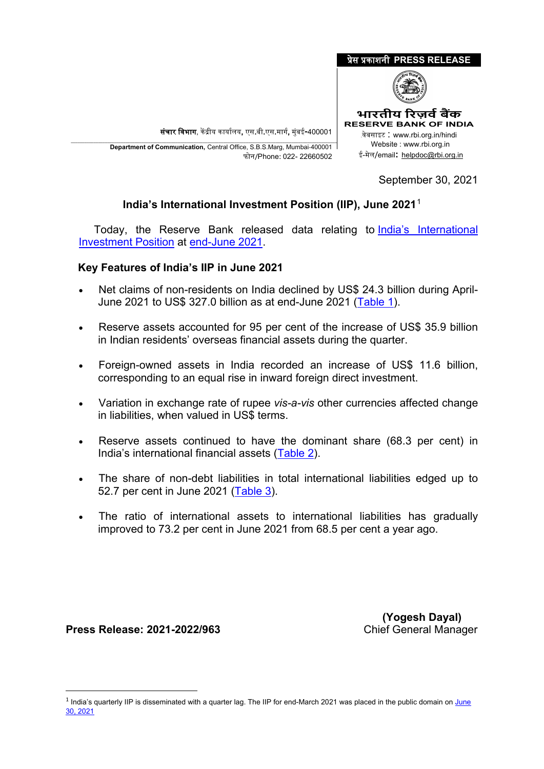

\_\_\_\_\_\_\_\_\_\_\_\_\_\_\_\_\_\_\_\_\_\_\_\_\_\_\_\_\_\_\_\_\_\_\_\_\_\_\_\_\_\_\_\_\_\_\_\_\_\_\_\_\_\_\_\_\_\_\_\_\_\_\_\_\_\_\_\_\_\_\_\_\_\_\_\_\_\_\_\_\_\_\_\_\_\_\_\_\_\_\_\_\_\_\_\_\_\_\_\_\_\_\_\_\_\_\_\_\_\_\_\_\_\_\_\_\_ **Department of Communication,** Central Office, S.B.S.Marg, Mumbai-400001 फोन/Phone: 022- 22660502

September 30, 2021

## **India's International Investment Position (IIP), June 2021**[1](#page-0-0)

 Today, the Reserve Bank released data relating to [India's International](https://www.rbi.org.in/scripts/IIPDetails.aspx?Id=131)  [Investment Position](https://www.rbi.org.in/scripts/IIPDetails.aspx?Id=131) at [end-June 2021](https://rbidocs.rbi.org.in/rdocs/content/docs/IIP30092021_JUNE21.xlsx).

## **Key Features of India's IIP in June 2021**

- Net claims of non-residents on India declined by US\$ 24.3 billion during April-June 2021 to US\$ 327.0 billion as at end-June 2021 [\(Table 1\)](#page-1-0).
- Reserve assets accounted for 95 per cent of the increase of US\$ 35.9 billion in Indian residents' overseas financial assets during the quarter.
- Foreign-owned assets in India recorded an increase of US\$ 11.6 billion, corresponding to an equal rise in inward foreign direct investment.
- Variation in exchange rate of rupee *vis-a-vis* other currencies affected change in liabilities, when valued in US\$ terms.
- Reserve assets continued to have the dominant share (68.3 per cent) in India's international financial assets [\(Table 2\)](#page-2-0).
- The share of non-debt liabilities in total international liabilities edged up to 52.7 per cent in June 2021 [\(Table 3\)](#page-2-1).
- The ratio of international assets to international liabilities has gradually improved to 73.2 per cent in June 2021 from 68.5 per cent a year ago.

**(Yogesh Dayal)**<br>Chief General Manager

**Press Release: 2021-2022/963** Chief General Manager

<u>.</u>

<span id="page-0-0"></span><sup>&</sup>lt;sup>1</sup> India's quarterly IIP is disseminated with a quarter lag. The IIP for end-March 2021 was placed in the public domain on *June* [30, 2021](https://rbi.org.in/Scripts/BS_PressReleaseDisplay.aspx?prid=51822)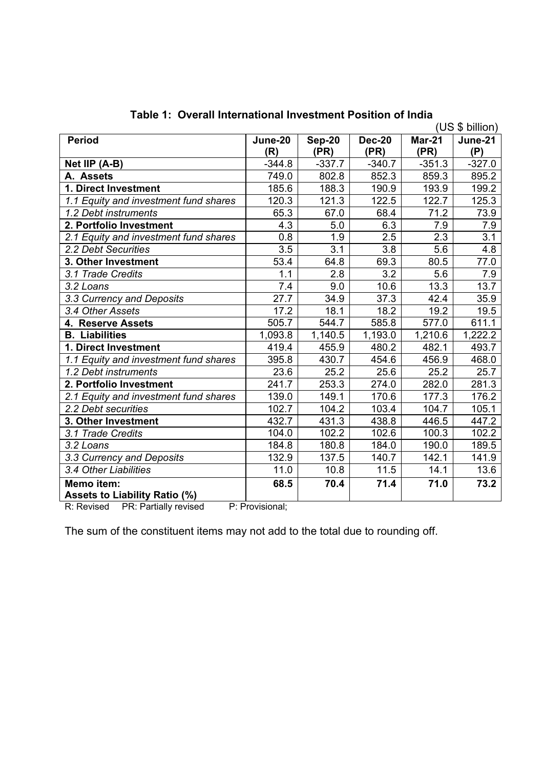<span id="page-1-0"></span>

| <b>Period</b>                         | June-20  |               |               |               |          |
|---------------------------------------|----------|---------------|---------------|---------------|----------|
|                                       |          | <b>Sep-20</b> | <b>Dec-20</b> | <b>Mar-21</b> | June-21  |
|                                       | (R)      | (PR)          | (PR)          | (PR)          | (P)      |
| Net IIP (A-B)                         | $-344.8$ | $-337.7$      | $-340.7$      | $-351.3$      | $-327.0$ |
| A. Assets                             | 749.0    | 802.8         | 852.3         | 859.3         | 895.2    |
| 1. Direct Investment                  | 185.6    | 188.3         | 190.9         | 193.9         | 199.2    |
| 1.1 Equity and investment fund shares | 120.3    | 121.3         | 122.5         | 122.7         | 125.3    |
| 1.2 Debt instruments                  | 65.3     | 67.0          | 68.4          | 71.2          | 73.9     |
| 2. Portfolio Investment               | 4.3      | 5.0           | 6.3           | 7.9           | 7.9      |
| 2.1 Equity and investment fund shares | 0.8      | 1.9           | 2.5           | 2.3           | 3.1      |
| 2.2 Debt Securities                   | 3.5      | 3.1           | 3.8           | 5.6           | 4.8      |
| 3. Other Investment                   | 53.4     | 64.8          | 69.3          | 80.5          | 77.0     |
| 3.1 Trade Credits                     | 1.1      | 2.8           | 3.2           | 5.6           | 7.9      |
| 3.2 Loans                             | 7.4      | 9.0           | 10.6          | 13.3          | 13.7     |
| 3.3 Currency and Deposits             | 27.7     | 34.9          | 37.3          | 42.4          | 35.9     |
| 3.4 Other Assets                      | 17.2     | 18.1          | 18.2          | 19.2          | 19.5     |
| 4. Reserve Assets                     | 505.7    | 544.7         | 585.8         | 577.0         | 611.1    |
| <b>B.</b> Liabilities                 | 1,093.8  | 1,140.5       | 1,193.0       | 1,210.6       | 1,222.2  |
| 1. Direct Investment                  | 419.4    | 455.9         | 480.2         | 482.1         | 493.7    |
| 1.1 Equity and investment fund shares | 395.8    | 430.7         | 454.6         | 456.9         | 468.0    |
| 1.2 Debt instruments                  | 23.6     | 25.2          | 25.6          | 25.2          | 25.7     |
| 2. Portfolio Investment               | 241.7    | 253.3         | 274.0         | 282.0         | 281.3    |
| 2.1 Equity and investment fund shares | 139.0    | 149.1         | 170.6         | 177.3         | 176.2    |
| 2.2 Debt securities                   | 102.7    | 104.2         | 103.4         | 104.7         | 105.1    |
| 3. Other Investment                   | 432.7    | 431.3         | 438.8         | 446.5         | 447.2    |
| 3.1 Trade Credits                     | 104.0    | 102.2         | 102.6         | 100.3         | 102.2    |
| 3.2 Loans                             | 184.8    | 180.8         | 184.0         | 190.0         | 189.5    |
| 3.3 Currency and Deposits             | 132.9    | 137.5         | 140.7         | 142.1         | 141.9    |
| 3.4 Other Liabilities                 | 11.0     | 10.8          | 11.5          | 14.1          | 13.6     |
| Memo item:                            | 68.5     | 70.4          | 71.4          | 71.0          | 73.2     |
| Assets to Liability Ratio (%)         |          |               |               |               |          |

**Table 1: Overall International Investment Position of India**

R: Revised PR: Partially revised P: Provisional;

The sum of the constituent items may not add to the total due to rounding off.